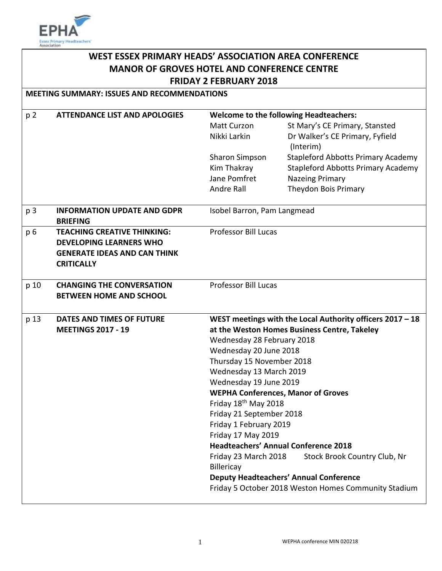

# **WEST ESSEX PRIMARY HEADS' ASSOCIATION AREA CONFERENCE MANOR OF GROVES HOTEL AND CONFERENCE CENTRE FRIDAY 2 FEBRUARY 2018**

**MEETING SUMMARY: ISSUES AND RECOMMENDATIONS**

| p <sub>2</sub> | <b>ATTENDANCE LIST AND APOLOGIES</b> | <b>Welcome to the following Headteachers:</b>             |                                                      |
|----------------|--------------------------------------|-----------------------------------------------------------|------------------------------------------------------|
|                |                                      | Matt Curzon                                               | St Mary's CE Primary, Stansted                       |
|                |                                      | Nikki Larkin                                              | Dr Walker's CE Primary, Fyfield                      |
|                |                                      |                                                           | (Interim)                                            |
|                |                                      | <b>Sharon Simpson</b>                                     | <b>Stapleford Abbotts Primary Academy</b>            |
|                |                                      | Kim Thakray                                               | <b>Stapleford Abbotts Primary Academy</b>            |
|                |                                      | Jane Pomfret                                              | <b>Nazeing Primary</b>                               |
|                |                                      | Andre Rall                                                | Theydon Bois Primary                                 |
| p <sub>3</sub> | <b>INFORMATION UPDATE AND GDPR</b>   | Isobel Barron, Pam Langmead                               |                                                      |
|                | <b>BRIEFING</b>                      |                                                           |                                                      |
| p 6            | <b>TEACHING CREATIVE THINKING:</b>   | <b>Professor Bill Lucas</b>                               |                                                      |
|                | <b>DEVELOPING LEARNERS WHO</b>       |                                                           |                                                      |
|                | <b>GENERATE IDEAS AND CAN THINK</b>  |                                                           |                                                      |
|                | <b>CRITICALLY</b>                    |                                                           |                                                      |
|                |                                      |                                                           |                                                      |
| p 10           | <b>CHANGING THE CONVERSATION</b>     | <b>Professor Bill Lucas</b>                               |                                                      |
|                | <b>BETWEEN HOME AND SCHOOL</b>       |                                                           |                                                      |
|                |                                      |                                                           |                                                      |
| p 13           | DATES AND TIMES OF FUTURE            | WEST meetings with the Local Authority officers 2017 - 18 |                                                      |
|                | <b>MEETINGS 2017 - 19</b>            | at the Weston Homes Business Centre, Takeley              |                                                      |
|                |                                      | Wednesday 28 February 2018                                |                                                      |
|                |                                      | Wednesday 20 June 2018                                    |                                                      |
|                |                                      | Thursday 15 November 2018                                 |                                                      |
|                |                                      | Wednesday 13 March 2019                                   |                                                      |
|                |                                      | Wednesday 19 June 2019                                    |                                                      |
|                |                                      | <b>WEPHA Conferences, Manor of Groves</b>                 |                                                      |
|                |                                      | Friday 18 <sup>th</sup> May 2018                          |                                                      |
|                |                                      | Friday 21 September 2018                                  |                                                      |
|                |                                      | Friday 1 February 2019                                    |                                                      |
|                |                                      | Friday 17 May 2019                                        |                                                      |
|                |                                      |                                                           | <b>Headteachers' Annual Conference 2018</b>          |
|                |                                      | Friday 23 March 2018                                      | Stock Brook Country Club, Nr                         |
|                |                                      | Billericay                                                |                                                      |
|                |                                      |                                                           | <b>Deputy Headteachers' Annual Conference</b>        |
|                |                                      |                                                           | Friday 5 October 2018 Weston Homes Community Stadium |
|                |                                      |                                                           |                                                      |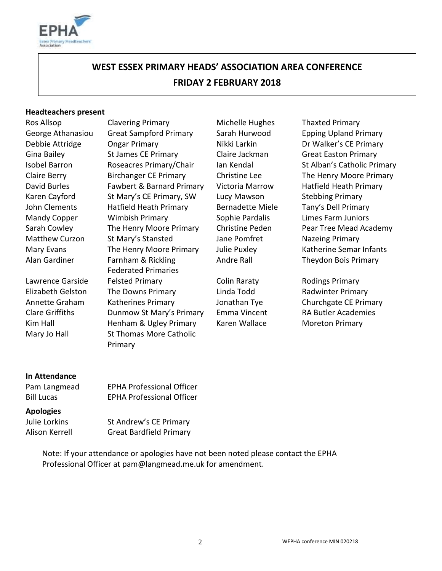

# **WEST ESSEX PRIMARY HEADS' ASSOCIATION AREA CONFERENCE FRIDAY 2 FEBRUARY 2018**

#### **Headteachers present**

Ros Allsop Clavering Primary Michelle Hughes Thaxted Primary George Athanasiou Great Sampford Primary Sarah Hurwood Epping Upland Primary Debbie Attridge Congar Primary Nikki Larkin Dr Walker's CE Primary Gina Bailey **St James CE Primary** Claire Jackman Great Easton Primary Claire Berry Birchanger CE Primary Christine Lee The Henry Moore Primary David Burles Fawbert & Barnard Primary Victoria Marrow Hatfield Heath Primary Karen Cayford St Mary's CE Primary, SW Lucy Mawson Stebbing Primary John Clements Hatfield Heath Primary Bernadette Miele Tany's Dell Primary Mandy Copper Wimbish Primary Sophie Pardalis Limes Farm Juniors Sarah Cowley The Henry Moore Primary Christine Peden Pear Tree Mead Academy Matthew Curzon St Mary's Stansted Jane Pomfret Nazeing Primary Mary Evans The Henry Moore Primary Julie Puxley Katherine Semar Infants Alan Gardiner Farnham & Rickling Federated Primaries Lawrence Garside Felsted Primary **Colin Raraty** Colin Raraty Rodings Primary Elizabeth Gelston The Downs Primary **Linda Todd** Radwinter Primary Annette Graham Katherines Primary Jonathan Tye Churchgate CE Primary Clare Griffiths **Dunmow St Mary's Primary** Emma Vincent RA Butler Academies Kim Hall **Henham & Ugley Primary** Karen Wallace Moreton Primary Mary Jo Hall St Thomas More Catholic Primary

Isobel Barron Roseacres Primary/Chair Ian Kendal St Alban's Catholic Primary Andre Rall Theydon Bois Primary

#### **In Attendance**

| Pam Langmead      | <b>EPHA Professional Officer</b> |
|-------------------|----------------------------------|
| <b>Bill Lucas</b> | <b>EPHA Professional Officer</b> |

#### **Apologies**

Julie Lorkins St Andrew's CE Primary Alison Kerrell Great Bardfield Primary

> Note: If your attendance or apologies have not been noted please contact the EPHA Professional Officer at pam@langmead.me.uk for amendment.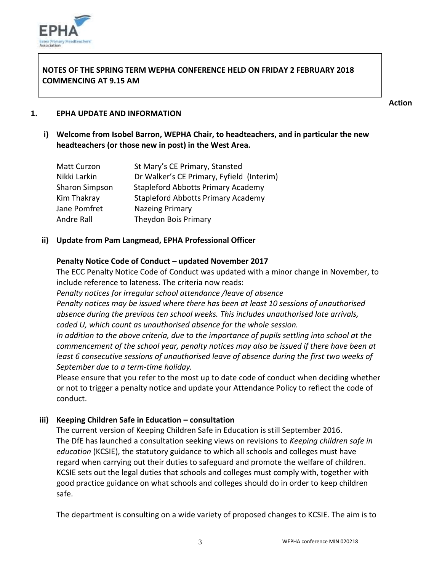

# **NOTES OF THE SPRING TERM WEPHA CONFERENCE HELD ON FRIDAY 2 FEBRUARY 2018 COMMENCING AT 9.15 AM**

#### **Action**

#### **1. EPHA UPDATE AND INFORMATION**

**i) Welcome from Isobel Barron, WEPHA Chair, to headteachers, and in particular the new headteachers (or those new in post) in the West Area.** 

| Matt Curzon           | St Mary's CE Primary, Stansted            |
|-----------------------|-------------------------------------------|
| Nikki Larkin          | Dr Walker's CE Primary, Fyfield (Interim) |
| <b>Sharon Simpson</b> | <b>Stapleford Abbotts Primary Academy</b> |
| Kim Thakray           | <b>Stapleford Abbotts Primary Academy</b> |
| Jane Pomfret          | <b>Nazeing Primary</b>                    |
| Andre Rall            | Theydon Bois Primary                      |

# **ii) Update from Pam Langmead, EPHA Professional Officer**

# **Penalty Notice Code of Conduct – updated November 2017**

The ECC Penalty Notice Code of Conduct was updated with a minor change in November, to include reference to lateness. The criteria now reads:

*Penalty notices for irregular school attendance /leave of absence Penalty notices may be issued where there has been at least 10 sessions of unauthorised absence during the previous ten school weeks. This includes unauthorised late arrivals,* 

*coded U, which count as unauthorised absence for the whole session.* 

*In addition to the above criteria, due to the importance of pupils settling into school at the commencement of the school year, penalty notices may also be issued if there have been at least 6 consecutive sessions of unauthorised leave of absence during the first two weeks of September due to a term-time holiday.*

Please ensure that you refer to the most up to date code of conduct when deciding whether or not to trigger a penalty notice and update your Attendance Policy to reflect the code of conduct.

# **iii) Keeping Children Safe in Education – consultation**

The current version of Keeping Children Safe in Education is still September 2016. The DfE has launched a consultation seeking views on revisions to *Keeping children safe in education* (KCSIE), the statutory guidance to which all schools and colleges must have regard when carrying out their duties to safeguard and promote the welfare of children. KCSIE sets out the legal duties that schools and colleges must comply with, together with good practice guidance on what schools and colleges should do in order to keep children safe.

The department is consulting on a wide variety of proposed changes to KCSIE. The aim is to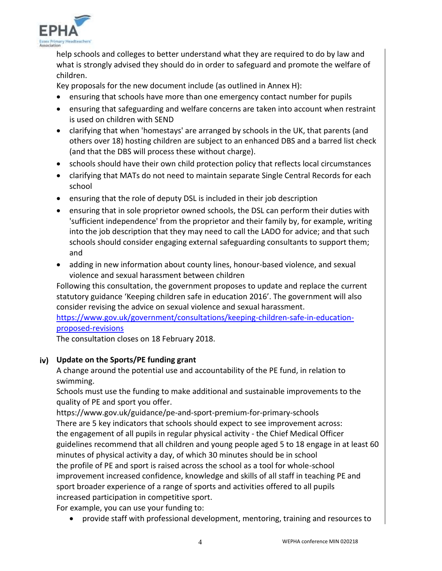

help schools and colleges to better understand what they are required to do by law and what is strongly advised they should do in order to safeguard and promote the welfare of children.

Key proposals for the new document include (as outlined in Annex H):

- ensuring that schools have more than one emergency contact number for pupils
- ensuring that safeguarding and welfare concerns are taken into account when restraint is used on children with SEND
- clarifying that when 'homestays' are arranged by schools in the UK, that parents (and others over 18) hosting children are subject to an enhanced DBS and a barred list check (and that the DBS will process these without charge).
- schools should have their own child protection policy that reflects local circumstances
- clarifying that MATs do not need to maintain separate Single Central Records for each school
- ensuring that the role of deputy DSL is included in their job description
- ensuring that in sole proprietor owned schools, the DSL can perform their duties with 'sufficient independence' from the proprietor and their family by, for example, writing into the job description that they may need to call the LADO for advice; and that such schools should consider engaging external safeguarding consultants to support them; and
- adding in new information about county lines, honour-based violence, and sexual violence and sexual harassment between children

Following this consultation, the government proposes to update and replace the current statutory guidance 'Keeping children safe in education 2016'. The government will also consider revising the advice on sexual violence and sexual harassment.

[https://www.gov.uk/government/consultations/keeping-children-safe-in-education](https://www.gov.uk/government/consultations/keeping-children-safe-in-education-proposed-revisions)[proposed-revisions](https://www.gov.uk/government/consultations/keeping-children-safe-in-education-proposed-revisions)

The consultation closes on 18 February 2018.

# **iv) Update on the Sports/PE funding grant**

A change around the potential use and accountability of the PE fund, in relation to swimming.

Schools must use the funding to make additional and sustainable improvements to the quality of PE and sport you offer.

https://www.gov.uk/guidance/pe-and-sport-premium-for-primary-schools There are 5 key indicators that schools should expect to see improvement across: the engagement of all pupils in regular physical activity - the Chief Medical Officer guidelines recommend that all children and young people aged 5 to 18 engage in at least 60 minutes of physical activity a day, of which 30 minutes should be in school the profile of PE and sport is raised across the school as a tool for whole-school improvement increased confidence, knowledge and skills of all staff in teaching PE and sport broader experience of a range of sports and activities offered to all pupils increased participation in competitive sport.

For example, you can use your funding to:

provide staff with professional development, mentoring, training and resources to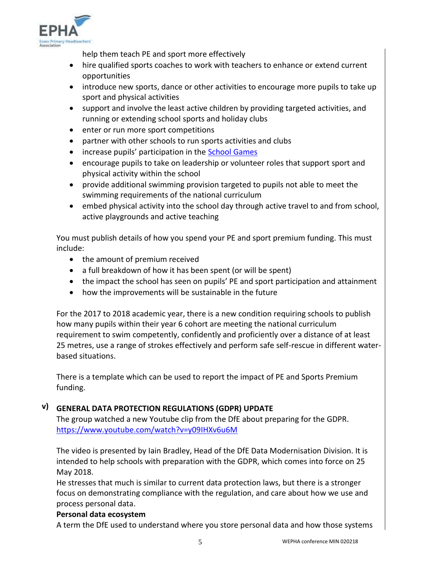

help them teach PE and sport more effectively

- hire qualified sports coaches to work with teachers to enhance or extend current opportunities
- introduce new sports, dance or other activities to encourage more pupils to take up sport and physical activities
- support and involve the least active children by providing targeted activities, and running or extending school sports and holiday clubs
- enter or run more sport competitions
- partner with other schools to run sports activities and clubs
- increase pupils' participation in the [School Games](https://www.gov.uk/government/policies/getting-more-people-playing-sport/supporting-pages/the-school-games)
- encourage pupils to take on leadership or volunteer roles that support sport and physical activity within the school
- provide additional swimming provision targeted to pupils not able to meet the swimming requirements of the national curriculum
- embed physical activity into the school day through active travel to and from school, active playgrounds and active teaching

You must publish details of how you spend your PE and sport premium funding. This must include:

- the amount of premium received
- a full breakdown of how it has been spent (or will be spent)
- the impact the school has seen on pupils' PE and sport participation and attainment
- how the improvements will be sustainable in the future

For the 2017 to 2018 academic year, there is a new condition requiring schools to publish how many pupils within their year 6 cohort are meeting the national curriculum requirement to swim competently, confidently and proficiently over a distance of at least 25 metres, use a range of strokes effectively and perform safe self-rescue in different waterbased situations.

There is a template which can be used to report the impact of PE and Sports Premium funding.

# **v) GENERAL DATA PROTECTION REGULATIONS (GDPR) UPDATE**

The group watched a new Youtube clip from the DfE about preparing for the GDPR. <https://www.youtube.com/watch?v=y09IHXv6u6M>

The video is presented by Iain Bradley, Head of the DfE Data Modernisation Division. It is intended to help schools with preparation with the GDPR, which comes into force on 25 May 2018.

He stresses that much is similar to current data protection laws, but there is a stronger focus on demonstrating compliance with the regulation, and care about how we use and process personal data.

# **Personal data ecosystem**

A term the DfE used to understand where you store personal data and how those systems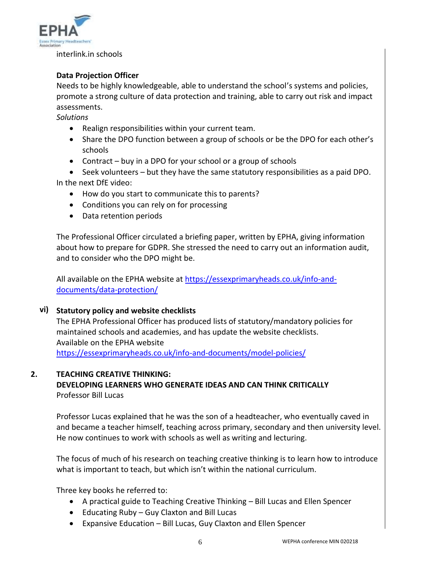

interlink.in schools

# **Data Projection Officer**

Needs to be highly knowledgeable, able to understand the school's systems and policies, promote a strong culture of data protection and training, able to carry out risk and impact assessments.

*Solutions*

- Realign responsibilities within your current team.
- Share the DPO function between a group of schools or be the DPO for each other's schools
- Contract buy in a DPO for your school or a group of schools

 Seek volunteers – but they have the same statutory responsibilities as a paid DPO. In the next DfE video:

- How do you start to communicate this to parents?
- Conditions you can rely on for processing
- Data retention periods

The Professional Officer circulated a briefing paper, written by EPHA, giving information about how to prepare for GDPR. She stressed the need to carry out an information audit, and to consider who the DPO might be.

All available on the EPHA website at [https://essexprimaryheads.co.uk/info-and](https://essexprimaryheads.co.uk/info-and-documents/data-protection/)[documents/data-protection/](https://essexprimaryheads.co.uk/info-and-documents/data-protection/)

# **vi) Statutory policy and website checklists**

The EPHA Professional Officer has produced lists of statutory/mandatory policies for maintained schools and academies, and has update the website checklists. Available on the EPHA website

<https://essexprimaryheads.co.uk/info-and-documents/model-policies/>

# **2. TEACHING CREATIVE THINKING:**

**DEVELOPING LEARNERS WHO GENERATE IDEAS AND CAN THINK CRITICALLY** Professor Bill Lucas

Professor Lucas explained that he was the son of a headteacher, who eventually caved in and became a teacher himself, teaching across primary, secondary and then university level. He now continues to work with schools as well as writing and lecturing.

The focus of much of his research on teaching creative thinking is to learn how to introduce what is important to teach, but which isn't within the national curriculum.

Three key books he referred to:

- A practical guide to Teaching Creative Thinking Bill Lucas and Ellen Spencer
- Educating Ruby Guy Claxton and Bill Lucas
- Expansive Education Bill Lucas, Guy Claxton and Ellen Spencer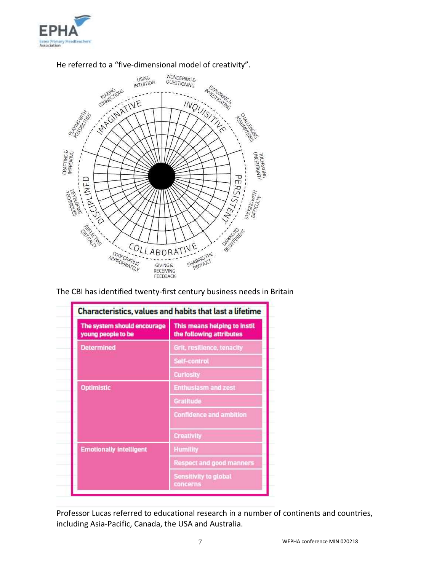



# He referred to a "five-dimensional model of creativity".

The CBI has identified twenty-first century business needs in Britain

| The system should encourage<br>young people to be | This means helping to instil<br>the following attributes |
|---------------------------------------------------|----------------------------------------------------------|
| <b>Determined</b>                                 | Grit, resilience, tenacity                               |
|                                                   | Self-control                                             |
|                                                   | <b>Curiosity</b>                                         |
| <b>Optimistic</b>                                 | <b>Enthusiasm and zest</b>                               |
|                                                   | Gratitude                                                |
|                                                   | <b>Confidence and ambition</b>                           |
|                                                   | <b>Creativity</b>                                        |
| <b>Emotionally intelligent</b>                    | <b>Humility</b>                                          |
|                                                   | <b>Respect and good manners</b>                          |
|                                                   | Sensitivity to global<br>concerns                        |

Professor Lucas referred to educational research in a number of continents and countries, including Asia-Pacific, Canada, the USA and Australia.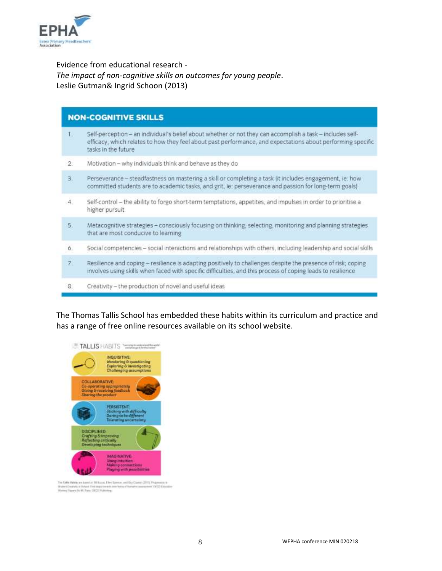

# Evidence from educational research - *The impact of non-cognitive skills on outcomes for young people*. Leslie Gutman& Ingrid Schoon (2013)

| <b>NON-COGNITIVE SKILLS</b> |                                                                                                                                                                                                                                                 |  |
|-----------------------------|-------------------------------------------------------------------------------------------------------------------------------------------------------------------------------------------------------------------------------------------------|--|
| 1.                          | Self-perception - an individual's belief about whether or not they can accomplish a task - includes self-<br>efficacy, which relates to how they feel about past performance, and expectations about performing specific<br>tasks in the future |  |
| $\mathcal{D}$               | Motivation - why individuals think and behave as they do                                                                                                                                                                                        |  |
| 3.                          | Perseverance - steadfastness on mastering a skill or completing a task lit includes engagement, ie: how<br>committed students are to academic tasks, and grit, ie: perseverance and passion for long-term goals)                                |  |
| 4.                          | Self-control - the ability to forgo short-term temptations, appetites, and impulses in order to prioritise a<br>higher pursuit                                                                                                                  |  |
| 5.                          | Metacognitive strategies - consciously focusing on thinking, selecting, monitoring and planning strategies<br>that are most conducive to learning                                                                                               |  |
| 6.                          | Social competencies - social interactions and relationships with others, including leadership and social skills                                                                                                                                 |  |
| 7.                          | Resilience and coping - resilience is adapting positively to challenges despite the presence of risk; coping<br>involves using skills when faced with specific difficulties, and this process of coping leads to resilience                     |  |
| 8.                          | Creativity - the production of novel and useful ideas                                                                                                                                                                                           |  |

The Thomas Tallis School has embedded these habits within its curriculum and practice and has a range of free online resources available on its school website.



The Talka Bakkin we have<br>by this line of the Special and Gap Games (2013). To general in the<br>set Council is future from approach two factor of futures constraint (2012).<br>Formy Planet for the Planet (2012) Publishing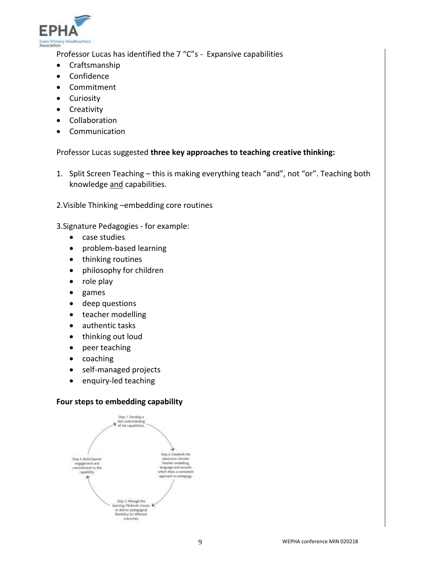

Professor Lucas has identified the 7 "C"s - Expansive capabilities

- Craftsmanship
- Confidence
- Commitment
- Curiosity
- Creativity
- Collaboration
- Communication

Professor Lucas suggested **three key approaches to teaching creative thinking:**

- 1. Split Screen Teaching this is making everything teach "and", not "or". Teaching both knowledge and capabilities.
- 2.Visible Thinking –embedding core routines

3.Signature Pedagogies - for example:

- case studies
- problem-based learning
- thinking routines
- philosophy for children
- role play
- games
- deep questions
- teacher modelling
- authentic tasks
- thinking out loud
- peer teaching
- coaching
- self-managed projects
- enquiry-led teaching

# **Four steps to embedding capability**

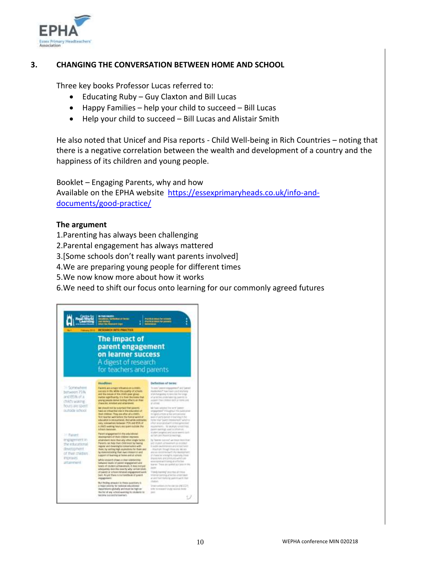

# **3. CHANGING THE CONVERSATION BETWEEN HOME AND SCHOOL**

Three key books Professor Lucas referred to:

- Educating Ruby Guy Claxton and Bill Lucas
- $\bullet$  Happy Families help your child to succeed Bill Lucas
- Help your child to succeed Bill Lucas and Alistair Smith

He also noted that Unicef and Pisa reports - Child Well-being in Rich Countries – noting that there is a negative correlation between the wealth and development of a country and the happiness of its children and young people.

Booklet – Engaging Parents, why and how Available on the EPHA website [https://essexprimaryheads.co.uk/info-and](https://essexprimaryheads.co.uk/info-and-documents/good-practice/)[documents/good-practice/](https://essexprimaryheads.co.uk/info-and-documents/good-practice/)

# **The argument**

- 1.Parenting has always been challenging
- 2.Parental engagement has always mattered
- 3.[Some schools don't really want parents involved]
- 4.We are preparing young people for different times
- 5.We now know more about how it works
- 6.We need to shift our focus onto learning for our commonly agreed futures

| 1011                                                                    | <b>WITH HEAVE</b><br><b><i><u>box of Timess</u></i></b><br>RESEARCH IMTG PRACTICE                                                                                                                                                                                                                                                                                   | <b>A MAILER SHOW</b>                                                                                                                                                                                                                                             |
|-------------------------------------------------------------------------|---------------------------------------------------------------------------------------------------------------------------------------------------------------------------------------------------------------------------------------------------------------------------------------------------------------------------------------------------------------------|------------------------------------------------------------------------------------------------------------------------------------------------------------------------------------------------------------------------------------------------------------------|
|                                                                         | The impact of<br>parent engagement<br>on learner success<br>A digest of research<br>for teachers and parents                                                                                                                                                                                                                                                        |                                                                                                                                                                                                                                                                  |
|                                                                         | Headlines.                                                                                                                                                                                                                                                                                                                                                          | <b>Definition of terrest</b>                                                                                                                                                                                                                                     |
| 34 Scrimwhere<br>behaviors 79%<br>and BSM of a<br>child's waking        | Painter and a major of thumos on a child's<br>installo in file. Holds the quirty of schools.<br>and the ratios of the chief's pool gloup-<br>mains significantly this floor that home that<br>young percent denied building of buildings than<br>characted minimal and arterieved.                                                                                  | locals' paint stagement and latest<br>ing player and the product of the product of<br>Information discussion in waterful class<br>art as hist force product ballott in by connectic top<br>assigned than children debt or more one.<br>an amount.                |
| frouts are spent.<br>buttate school                                     | Ada situated wait the sumprisond lifest paperws.<br>hase as initialistic plan in the population of<br>likest continues. These new other sit a shallofs<br>first taxe her will fulfill the factal world at<br>whocaston is encountered. And white extenuties<br>stery, statement will be the car. 75% and 185% of<br>A 1992) warring fronts are spaced custoder than | No Francis (Allyhor) The Jacob Gamero<br>intakement this elited this substance<br>In taped a tricke as Mari anticamente<br>seas of air to paramist seaming in the<br>Form that "painty treatesties" wholl or<br>influent accumulation with serviced gainscream   |
| 31 Raient                                                               | <b>Schluck Hamman</b><br>Partici impigement in the debottomic                                                                                                                                                                                                                                                                                                       | economics). To be proper screen lines.<br>parent executing and to collect only.<br>I drughed perigenced panel has an interest in party.<br>as hard and drawings exercises.                                                                                       |
| ergagement in<br>the intucational<br>development -<br>of their chicken. | ideoptigmaket of their children improves<br>attainment more than any other single factor.<br>Preventy List: Artic Must child most Se having<br>regular sext mostrargital conversation with<br>Buns, by sating viert ataketive for from one<br>by dominatesting their Jeel Joseph and<br>yuggerit til faurning at home and at school.                                | To "learner tuesma" aut trout that it set.<br>Told himle as Frameworths, Institute And<br>In public dealership care und lottest faster.<br>chromat frough from the Mc art<br>ALC ALCOHOMISTS ON THE BANKATARY.<br>In character scientistics, instantially those. |
| <b>ITERUVES</b><br>attainment                                           | laRrik sejawa'a dinasi a class sata berday<br>liatweste loyals of polosit prajagament and<br>lowin of student activationed), it loop ent yet<br>advocatory Antonico mas fly why terrain since:                                                                                                                                                                      | thank runs and of futures which dol-<br>economist with laters should be<br>learned These are solded cut below to time.<br><b>Select</b>                                                                                                                          |
|                                                                         | of Zenett or school-installation equipment wide.<br>basic. As you there is no himeliters of panels.<br>inpatient.                                                                                                                                                                                                                                                   | Family list mind street we all three<br>ensence benefit at her last ship makes<br>at and fram formulas agencinas in Havi-                                                                                                                                        |
|                                                                         | But Reiling attacks t to these quantumy is<br>in major paintity for national educational<br>thetas/terrority globally and trust fee high sin<br>that that of any subset exercising the challents for<br>handered transactive boomers.                                                                                                                               | <b>Culture</b><br>The API dealers in the control control<br>when the resulteed structure relationship through<br><b>Service</b>                                                                                                                                  |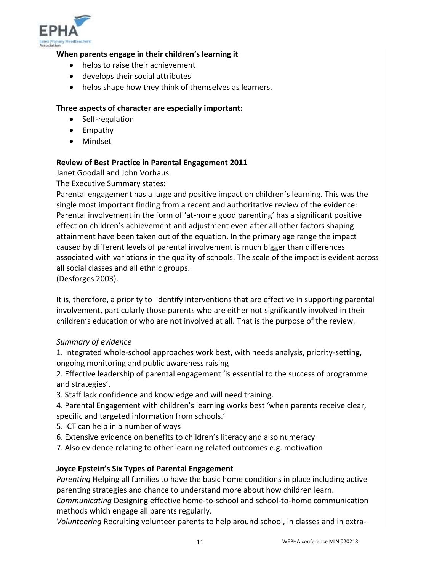

# **When parents engage in their children's learning it**

- helps to raise their achievement
- develops their social attributes
- helps shape how they think of themselves as learners.

# **Three aspects of character are especially important:**

- Self-regulation
- Empathy
- Mindset

# **Review of Best Practice in Parental Engagement 2011**

Janet Goodall and John Vorhaus

The Executive Summary states:

Parental engagement has a large and positive impact on children's learning. This was the single most important finding from a recent and authoritative review of the evidence: Parental involvement in the form of 'at-home good parenting' has a significant positive effect on children's achievement and adjustment even after all other factors shaping attainment have been taken out of the equation. In the primary age range the impact caused by different levels of parental involvement is much bigger than differences associated with variations in the quality of schools. The scale of the impact is evident across all social classes and all ethnic groups.

(Desforges 2003).

It is, therefore, a priority to identify interventions that are effective in supporting parental involvement, particularly those parents who are either not significantly involved in their children's education or who are not involved at all. That is the purpose of the review.

# *Summary of evidence*

1. Integrated whole-school approaches work best, with needs analysis, priority-setting, ongoing monitoring and public awareness raising

2. Effective leadership of parental engagement 'is essential to the success of programme and strategies'.

3. Staff lack confidence and knowledge and will need training.

4. Parental Engagement with children's learning works best 'when parents receive clear, specific and targeted information from schools.'

- 5. ICT can help in a number of ways
- 6. Extensive evidence on benefits to children's literacy and also numeracy
- 7. Also evidence relating to other learning related outcomes e.g. motivation

# **Joyce Epstein's Six Types of Parental Engagement**

*Parenting* Helping all families to have the basic home conditions in place including active parenting strategies and chance to understand more about how children learn.

*Communicating* Designing effective home-to-school and school-to-home communication methods which engage all parents regularly.

*Volunteering* Recruiting volunteer parents to help around school, in classes and in extra-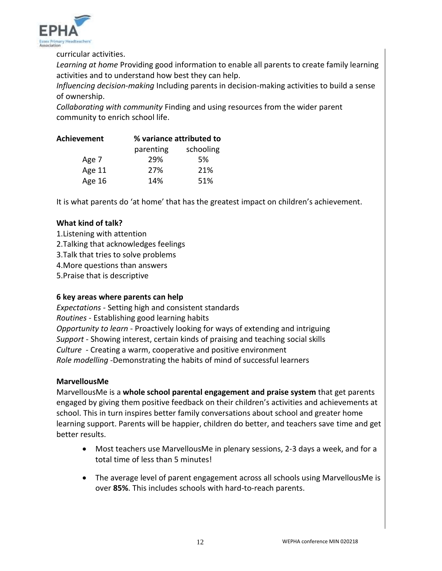

curricular activities.

*Learning at home* Providing good information to enable all parents to create family learning activities and to understand how best they can help.

*Influencing decision-making* Including parents in decision-making activities to build a sense of ownership.

*Collaborating with community* Finding and using resources from the wider parent community to enrich school life.

| Achievement | % variance attributed to |           |  |
|-------------|--------------------------|-----------|--|
|             | parenting                | schooling |  |
| Age 7       | 29%                      | .5%       |  |
| Age 11      | 27%                      | 21%       |  |
| Age 16      | 14%                      | 51%       |  |

It is what parents do 'at home' that has the greatest impact on children's achievement.

# **What kind of talk?**

- 1.Listening with attention
- 2.Talking that acknowledges feelings
- 3.Talk that tries to solve problems
- 4.More questions than answers
- 5.Praise that is descriptive

# **6 key areas where parents can help**

*Expectations -* Setting high and consistent standards *Routines -* Establishing good learning habits *Opportunity to learn -* Proactively looking for ways of extending and intriguing *Support -* Showing interest, certain kinds of praising and teaching social skills *Culture* - Creating a warm, cooperative and positive environment *Role modelling -*Demonstrating the habits of mind of successful learners

# **MarvellousMe**

MarvellousMe is a **whole school parental engagement and praise system** that get parents engaged by giving them positive feedback on their children's activities and achievements at school. This in turn inspires better family conversations about school and greater home learning support. Parents will be happier, children do better, and teachers save time and get better results.

- Most teachers use MarvellousMe in plenary sessions, 2-3 days a week, and for a total time of less than 5 minutes!
- The average level of parent engagement across all schools using MarvellousMe is over **85%**. This includes schools with hard-to-reach parents.